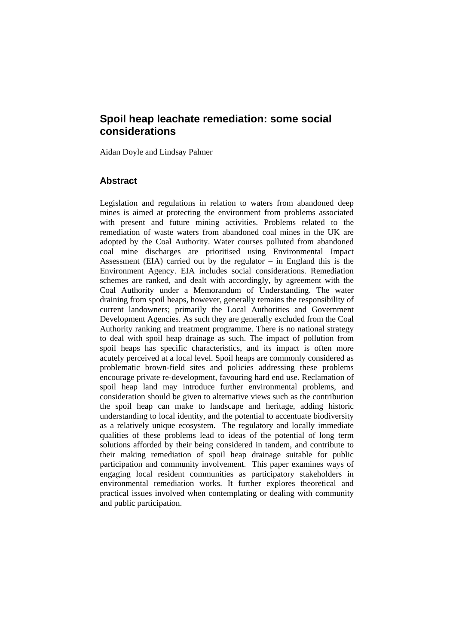# **Spoil heap leachate remediation: some social considerations**

Aidan Doyle and Lindsay Palmer

## **Abstract**

Legislation and regulations in relation to waters from abandoned deep mines is aimed at protecting the environment from problems associated with present and future mining activities. Problems related to the remediation of waste waters from abandoned coal mines in the UK are adopted by the Coal Authority. Water courses polluted from abandoned coal mine discharges are prioritised using Environmental Impact Assessment (EIA) carried out by the regulator – in England this is the Environment Agency. EIA includes social considerations. Remediation schemes are ranked, and dealt with accordingly, by agreement with the Coal Authority under a Memorandum of Understanding. The water draining from spoil heaps, however, generally remains the responsibility of current landowners; primarily the Local Authorities and Government Development Agencies. As such they are generally excluded from the Coal Authority ranking and treatment programme. There is no national strategy to deal with spoil heap drainage as such. The impact of pollution from spoil heaps has specific characteristics, and its impact is often more acutely perceived at a local level. Spoil heaps are commonly considered as problematic brown-field sites and policies addressing these problems encourage private re-development, favouring hard end use. Reclamation of spoil heap land may introduce further environmental problems, and consideration should be given to alternative views such as the contribution the spoil heap can make to landscape and heritage, adding historic understanding to local identity, and the potential to accentuate biodiversity as a relatively unique ecosystem. The regulatory and locally immediate qualities of these problems lead to ideas of the potential of long term solutions afforded by their being considered in tandem, and contribute to their making remediation of spoil heap drainage suitable for public participation and community involvement. This paper examines ways of engaging local resident communities as participatory stakeholders in environmental remediation works. It further explores theoretical and practical issues involved when contemplating or dealing with community and public participation.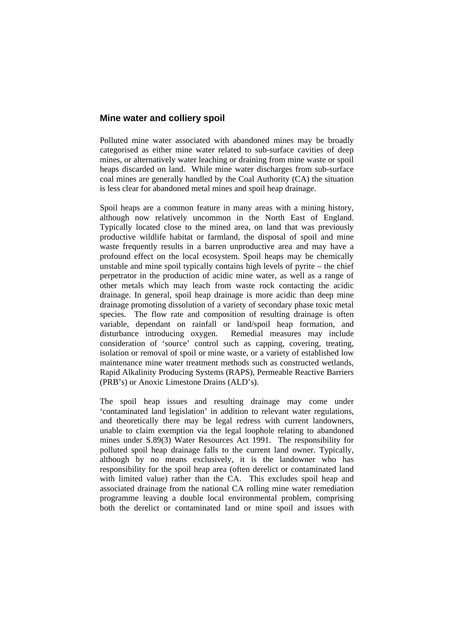### **Mine water and colliery spoil**

Polluted mine water associated with abandoned mines may be broadly categorised as either mine water related to sub-surface cavities of deep mines, or alternatively water leaching or draining from mine waste or spoil heaps discarded on land. While mine water discharges from sub-surface coal mines are generally handled by the Coal Authority (CA) the situation is less clear for abandoned metal mines and spoil heap drainage.

Spoil heaps are a common feature in many areas with a mining history, although now relatively uncommon in the North East of England. Typically located close to the mined area, on land that was previously productive wildlife habitat or farmland, the disposal of spoil and mine waste frequently results in a barren unproductive area and may have a profound effect on the local ecosystem. Spoil heaps may be chemically unstable and mine spoil typically contains high levels of pyrite – the chief perpetrator in the production of acidic mine water, as well as a range of other metals which may leach from waste rock contacting the acidic drainage. In general, spoil heap drainage is more acidic than deep mine drainage promoting dissolution of a variety of secondary phase toxic metal species. The flow rate and composition of resulting drainage is often variable, dependant on rainfall or land/spoil heap formation, and disturbance introducing oxygen. Remedial measures may include consideration of 'source' control such as capping, covering, treating, isolation or removal of spoil or mine waste, or a variety of established low maintenance mine water treatment methods such as constructed wetlands, Rapid Alkalinity Producing Systems (RAPS), Permeable Reactive Barriers (PRB's) or Anoxic Limestone Drains (ALD's).

The spoil heap issues and resulting drainage may come under 'contaminated land legislation' in addition to relevant water regulations, and theoretically there may be legal redress with current landowners, unable to claim exemption via the legal loophole relating to abandoned mines under S.89(3) Water Resources Act 1991. The responsibility for polluted spoil heap drainage falls to the current land owner. Typically, although by no means exclusively, it is the landowner who has responsibility for the spoil heap area (often derelict or contaminated land with limited value) rather than the CA. This excludes spoil heap and associated drainage from the national CA rolling mine water remediation programme leaving a double local environmental problem, comprising both the derelict or contaminated land or mine spoil and issues with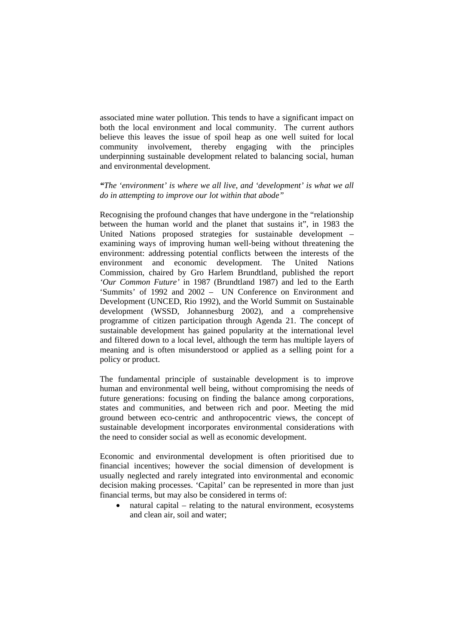associated mine water pollution. This tends to have a significant impact on both the local environment and local community. The current authors believe this leaves the issue of spoil heap as one well suited for local community involvement, thereby engaging with the principles underpinning sustainable development related to balancing social, human and environmental development.

#### *"The 'environment' is where we all live, and 'development' is what we all do in attempting to improve our lot within that abode"*

Recognising the profound changes that have undergone in the "relationship between the human world and the planet that sustains it", in 1983 the United Nations proposed strategies for sustainable development – examining ways of improving human well-being without threatening the environment: addressing potential conflicts between the interests of the environment and economic development. The United Nations Commission, chaired by Gro Harlem Brundtland, published the report *'Our Common Future'* in 1987 (Brundtland 1987) and led to the Earth 'Summits' of 1992 and 2002 – UN Conference on Environment and Development (UNCED, Rio 1992), and the World Summit on Sustainable development (WSSD, Johannesburg 2002), and a comprehensive programme of citizen participation through Agenda 21. The concept of sustainable development has gained popularity at the international level and filtered down to a local level, although the term has multiple layers of meaning and is often misunderstood or applied as a selling point for a policy or product.

The fundamental principle of sustainable development is to improve human and environmental well being, without compromising the needs of future generations: focusing on finding the balance among corporations, states and communities, and between rich and poor. Meeting the mid ground between eco-centric and anthropocentric views, the concept of sustainable development incorporates environmental considerations with the need to consider social as well as economic development.

Economic and environmental development is often prioritised due to financial incentives; however the social dimension of development is usually neglected and rarely integrated into environmental and economic decision making processes. 'Capital' can be represented in more than just financial terms, but may also be considered in terms of:

• natural capital – relating to the natural environment, ecosystems and clean air, soil and water;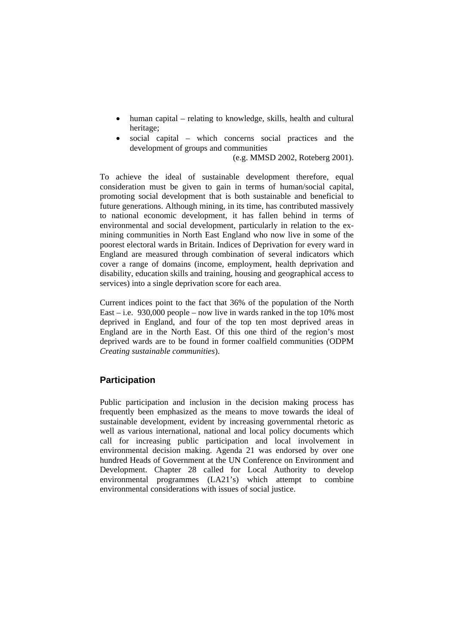- human capital relating to knowledge, skills, health and cultural heritage;
- social capital which concerns social practices and the development of groups and communities

(e.g. MMSD 2002, Roteberg 2001).

To achieve the ideal of sustainable development therefore, equal consideration must be given to gain in terms of human/social capital, promoting social development that is both sustainable and beneficial to future generations. Although mining, in its time, has contributed massively to national economic development, it has fallen behind in terms of environmental and social development, particularly in relation to the exmining communities in North East England who now live in some of the poorest electoral wards in Britain. Indices of Deprivation for every ward in England are measured through combination of several indicators which cover a range of domains (income, employment, health deprivation and disability, education skills and training, housing and geographical access to services) into a single deprivation score for each area.

Current indices point to the fact that 36% of the population of the North East – i.e. 930,000 people – now live in wards ranked in the top 10% most deprived in England, and four of the top ten most deprived areas in England are in the North East. Of this one third of the region's most deprived wards are to be found in former coalfield communities (ODPM *Creating sustainable communities*).

#### **Participation**

Public participation and inclusion in the decision making process has frequently been emphasized as the means to move towards the ideal of sustainable development, evident by increasing governmental rhetoric as well as various international, national and local policy documents which call for increasing public participation and local involvement in environmental decision making. Agenda 21 was endorsed by over one hundred Heads of Government at the UN Conference on Environment and Development. Chapter 28 called for Local Authority to develop environmental programmes (LA21's) which attempt to combine environmental considerations with issues of social justice.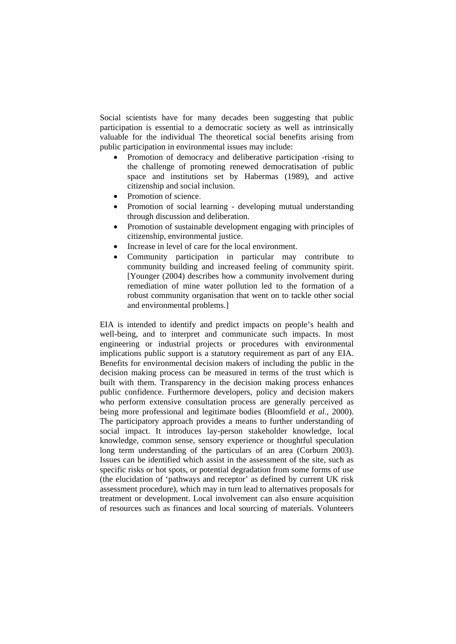Social scientists have for many decades been suggesting that public participation is essential to a democratic society as well as intrinsically valuable for the individual The theoretical social benefits arising from public participation in environmental issues may include:

- Promotion of democracy and deliberative participation -rising to the challenge of promoting renewed democratisation of public space and institutions set by Habermas (1989), and active citizenship and social inclusion.
- Promotion of science.
- Promotion of social learning developing mutual understanding through discussion and deliberation.
- Promotion of sustainable development engaging with principles of citizenship, environmental justice.
- Increase in level of care for the local environment.
- Community participation in particular may contribute to community building and increased feeling of community spirit. [Younger (2004) describes how a community involvement during remediation of mine water pollution led to the formation of a robust community organisation that went on to tackle other social and environmental problems.]

EIA is intended to identify and predict impacts on people's health and well-being, and to interpret and communicate such impacts. In most engineering or industrial projects or procedures with environmental implications public support is a statutory requirement as part of any EIA. Benefits for environmental decision makers of including the public in the decision making process can be measured in terms of the trust which is built with them. Transparency in the decision making process enhances public confidence. Furthermore developers, policy and decision makers who perform extensive consultation process are generally perceived as being more professional and legitimate bodies (Bloomfield *et al.,* 2000). The participatory approach provides a means to further understanding of social impact. It introduces lay-person stakeholder knowledge, local knowledge, common sense, sensory experience or thoughtful speculation long term understanding of the particulars of an area (Corburn 2003). Issues can be identified which assist in the assessment of the site, such as specific risks or hot spots, or potential degradation from some forms of use (the elucidation of 'pathways and receptor' as defined by current UK risk assessment procedure), which may in turn lead to alternatives proposals for treatment or development. Local involvement can also ensure acquisition of resources such as finances and local sourcing of materials. Volunteers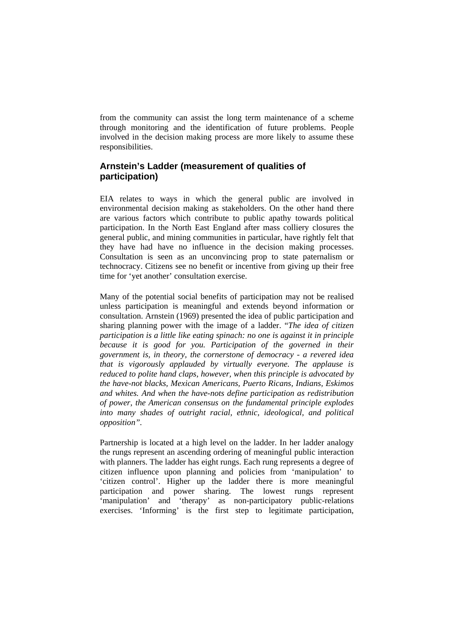from the community can assist the long term maintenance of a scheme through monitoring and the identification of future problems. People involved in the decision making process are more likely to assume these responsibilities.

## **Arnstein's Ladder (measurement of qualities of participation)**

EIA relates to ways in which the general public are involved in environmental decision making as stakeholders. On the other hand there are various factors which contribute to public apathy towards political participation. In the North East England after mass colliery closures the general public, and mining communities in particular, have rightly felt that they have had have no influence in the decision making processes. Consultation is seen as an unconvincing prop to state paternalism or technocracy. Citizens see no benefit or incentive from giving up their free time for 'yet another' consultation exercise.

Many of the potential social benefits of participation may not be realised unless participation is meaningful and extends beyond information or consultation. Arnstein (1969) presented the idea of public participation and sharing planning power with the image of a ladder. "*The idea of citizen participation is a little like eating spinach: no one is against it in principle because it is good for you. Participation of the governed in their government is, in theory, the cornerstone of democracy - a revered idea that is vigorously applauded by virtually everyone. The applause is reduced to polite hand claps, however, when this principle is advocated by the have-not blacks, Mexican Americans, Puerto Ricans, Indians, Eskimos and whites. And when the have-nots define participation as redistribution of power, the American consensus on the fundamental principle explodes into many shades of outright racial, ethnic, ideological, and political opposition".* 

Partnership is located at a high level on the ladder. In her ladder analogy the rungs represent an ascending ordering of meaningful public interaction with planners. The ladder has eight rungs. Each rung represents a degree of citizen influence upon planning and policies from 'manipulation' to 'citizen control'. Higher up the ladder there is more meaningful participation and power sharing. The lowest rungs represent 'manipulation' and 'therapy' as non-participatory public-relations exercises. 'Informing' is the first step to legitimate participation,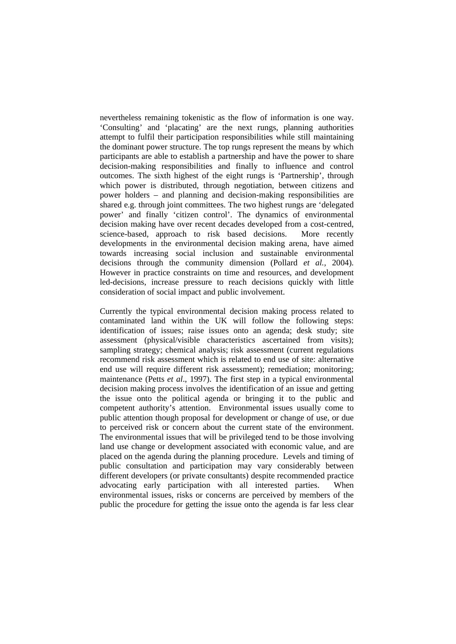nevertheless remaining tokenistic as the flow of information is one way. 'Consulting' and 'placating' are the next rungs, planning authorities attempt to fulfil their participation responsibilities while still maintaining the dominant power structure. The top rungs represent the means by which participants are able to establish a partnership and have the power to share decision-making responsibilities and finally to influence and control outcomes. The sixth highest of the eight rungs is 'Partnership', through which power is distributed, through negotiation, between citizens and power holders – and planning and decision-making responsibilities are shared e.g. through joint committees. The two highest rungs are 'delegated power' and finally 'citizen control'. The dynamics of environmental decision making have over recent decades developed from a cost-centred, science-based, approach to risk based decisions. More recently developments in the environmental decision making arena, have aimed towards increasing social inclusion and sustainable environmental decisions through the community dimension (Pollard *et al.,* 2004). However in practice constraints on time and resources, and development led-decisions, increase pressure to reach decisions quickly with little consideration of social impact and public involvement.

Currently the typical environmental decision making process related to contaminated land within the UK will follow the following steps: identification of issues; raise issues onto an agenda; desk study; site assessment (physical/visible characteristics ascertained from visits); sampling strategy; chemical analysis; risk assessment (current regulations recommend risk assessment which is related to end use of site: alternative end use will require different risk assessment); remediation; monitoring; maintenance (Petts *et al*., 1997). The first step in a typical environmental decision making process involves the identification of an issue and getting the issue onto the political agenda or bringing it to the public and competent authority's attention. Environmental issues usually come to public attention though proposal for development or change of use, or due to perceived risk or concern about the current state of the environment. The environmental issues that will be privileged tend to be those involving land use change or development associated with economic value, and are placed on the agenda during the planning procedure. Levels and timing of public consultation and participation may vary considerably between different developers (or private consultants) despite recommended practice advocating early participation with all interested parties. When environmental issues, risks or concerns are perceived by members of the public the procedure for getting the issue onto the agenda is far less clear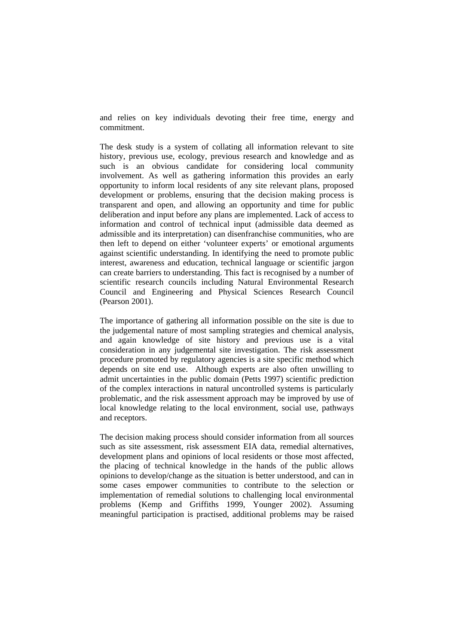and relies on key individuals devoting their free time, energy and commitment.

The desk study is a system of collating all information relevant to site history, previous use, ecology, previous research and knowledge and as such is an obvious candidate for considering local community involvement. As well as gathering information this provides an early opportunity to inform local residents of any site relevant plans, proposed development or problems, ensuring that the decision making process is transparent and open, and allowing an opportunity and time for public deliberation and input before any plans are implemented. Lack of access to information and control of technical input (admissible data deemed as admissible and its interpretation) can disenfranchise communities, who are then left to depend on either 'volunteer experts' or emotional arguments against scientific understanding. In identifying the need to promote public interest, awareness and education, technical language or scientific jargon can create barriers to understanding. This fact is recognised by a number of scientific research councils including Natural Environmental Research Council and Engineering and Physical Sciences Research Council (Pearson 2001).

The importance of gathering all information possible on the site is due to the judgemental nature of most sampling strategies and chemical analysis, and again knowledge of site history and previous use is a vital consideration in any judgemental site investigation. The risk assessment procedure promoted by regulatory agencies is a site specific method which depends on site end use. Although experts are also often unwilling to admit uncertainties in the public domain (Petts 1997) scientific prediction of the complex interactions in natural uncontrolled systems is particularly problematic, and the risk assessment approach may be improved by use of local knowledge relating to the local environment, social use, pathways and receptors.

The decision making process should consider information from all sources such as site assessment, risk assessment EIA data, remedial alternatives, development plans and opinions of local residents or those most affected, the placing of technical knowledge in the hands of the public allows opinions to develop/change as the situation is better understood, and can in some cases empower communities to contribute to the selection or implementation of remedial solutions to challenging local environmental problems (Kemp and Griffiths 1999, Younger 2002). Assuming meaningful participation is practised, additional problems may be raised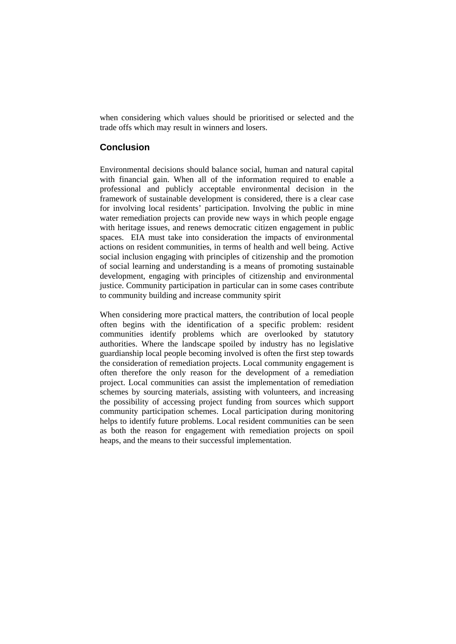when considering which values should be prioritised or selected and the trade offs which may result in winners and losers.

## **Conclusion**

Environmental decisions should balance social, human and natural capital with financial gain. When all of the information required to enable a professional and publicly acceptable environmental decision in the framework of sustainable development is considered, there is a clear case for involving local residents' participation. Involving the public in mine water remediation projects can provide new ways in which people engage with heritage issues, and renews democratic citizen engagement in public spaces. EIA must take into consideration the impacts of environmental actions on resident communities, in terms of health and well being. Active social inclusion engaging with principles of citizenship and the promotion of social learning and understanding is a means of promoting sustainable development, engaging with principles of citizenship and environmental justice. Community participation in particular can in some cases contribute to community building and increase community spirit

When considering more practical matters, the contribution of local people often begins with the identification of a specific problem: resident communities identify problems which are overlooked by statutory authorities. Where the landscape spoiled by industry has no legislative guardianship local people becoming involved is often the first step towards the consideration of remediation projects. Local community engagement is often therefore the only reason for the development of a remediation project. Local communities can assist the implementation of remediation schemes by sourcing materials, assisting with volunteers, and increasing the possibility of accessing project funding from sources which support community participation schemes. Local participation during monitoring helps to identify future problems. Local resident communities can be seen as both the reason for engagement with remediation projects on spoil heaps, and the means to their successful implementation.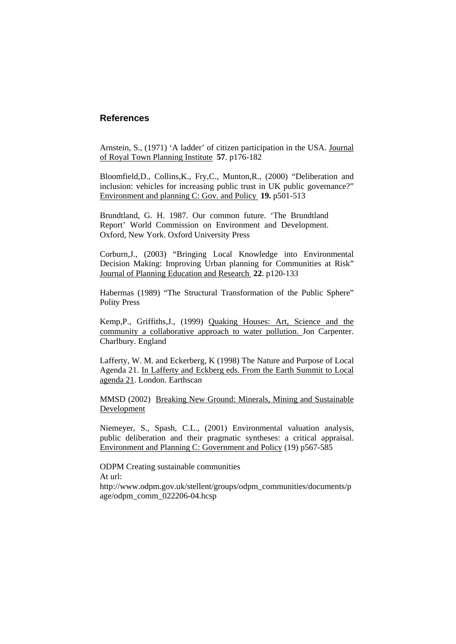#### **References**

Arnstein, S., (1971) 'A ladder' of citizen participation in the USA. Journal of Royal Town Planning Institute **57**. p176-182

Bloomfield,D., Collins,K., Fry,C., Munton,R., (2000) "Deliberation and inclusion: vehicles for increasing public trust in UK public governance?" Environment and planning C: Gov. and Policy **19.** p501-513

Brundtland, G. H. 1987. Our common future. 'The Brundtland Report' World Commission on Environment and Development. Oxford, New York. Oxford University Press

Corburn,J., (2003) "Bringing Local Knowledge into Environmental Decision Making: Improving Urban planning for Communities at Risk" Journal of Planning Education and Research **22**. p120-133

Habermas (1989) "The Structural Transformation of the Public Sphere" Polity Press

Kemp,P., Griffiths,J., (1999) Quaking Houses: Art, Science and the community a collaborative approach to water pollution. Jon Carpenter. Charlbury. England

Lafferty, W. M. and Eckerberg, K (1998) The Nature and Purpose of Local Agenda 21. In Lafferty and Eckberg eds. From the Earth Summit to Local agenda 21. London. Earthscan

MMSD (2002) Breaking New Ground: Minerals, Mining and Sustainable Development

Niemeyer, S., Spash, C.L., (2001) Environmental valuation analysis, public deliberation and their pragmatic syntheses: a critical appraisal. Environment and Planning C: Government and Policy (19) p567-585

ODPM Creating sustainable communities At url: http://www.odpm.gov.uk/stellent/groups/odpm\_communities/documents/p age/odpm\_comm\_022206-04.hcsp